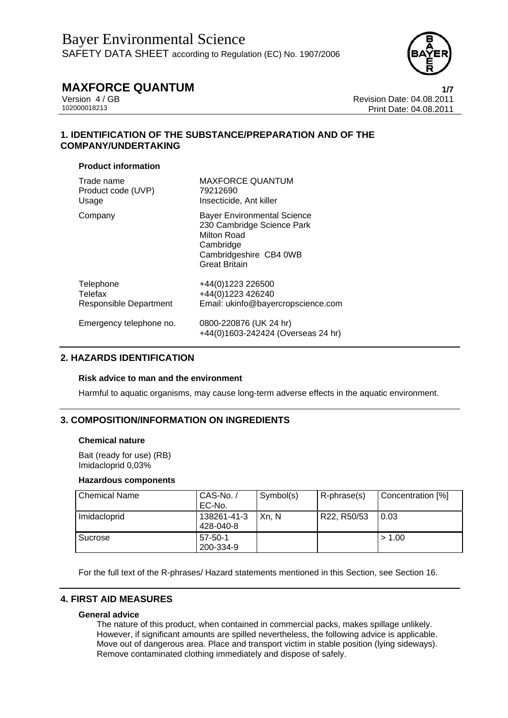

Version 4 / GB<br>
102000018213<br>
Print Date: 04.08.2011<br>
Print Date: 04.08.2011 102000018213 Print Date: 04.08.2011

### **1. IDENTIFICATION OF THE SUBSTANCE/PREPARATION AND OF THE COMPANY/UNDERTAKING**

#### **Product information**

| Trade name              | <b>MAXFORCE QUANTUM</b>                                                                                                                        |
|-------------------------|------------------------------------------------------------------------------------------------------------------------------------------------|
| Product code (UVP)      | 79212690                                                                                                                                       |
| Usage                   | Insecticide, Ant killer                                                                                                                        |
| Company                 | <b>Bayer Environmental Science</b><br>230 Cambridge Science Park<br>Milton Road<br>Cambridge<br>Cambridgeshire CB4 0WB<br><b>Great Britain</b> |
| Telephone               | +44(0)1223 226500                                                                                                                              |
| Telefax                 | +44(0)1223 426240                                                                                                                              |
| Responsible Department  | Email: ukinfo@bayercropscience.com                                                                                                             |
| Emergency telephone no. | 0800-220876 (UK 24 hr)<br>+44(0)1603-242424 (Overseas 24 hr)                                                                                   |

### **2. HAZARDS IDENTIFICATION**

#### **Risk advice to man and the environment**

Harmful to aquatic organisms, may cause long-term adverse effects in the aquatic environment.

### **3. COMPOSITION/INFORMATION ON INGREDIENTS**

#### **Chemical nature**

Bait (ready for use) (RB) Imidacloprid 0,03%

#### **Hazardous components**

| <b>Chemical Name</b> | CAS-No./<br>EC-No.       | Symbol(s) | R-phrase(s) | Concentration [%] |
|----------------------|--------------------------|-----------|-------------|-------------------|
| Imidacloprid         | 138261-41-3<br>428-040-8 | Xn, N     | R22, R50/53 | 0.03              |
| Sucrose              | $57-50-1$<br>200-334-9   |           |             | > 1.00            |

For the full text of the R-phrases/ Hazard statements mentioned in this Section, see Section 16.

#### **4. FIRST AID MEASURES**

#### **General advice**

The nature of this product, when contained in commercial packs, makes spillage unlikely. However, if significant amounts are spilled nevertheless, the following advice is applicable. Move out of dangerous area. Place and transport victim in stable position (lying sideways). Remove contaminated clothing immediately and dispose of safely.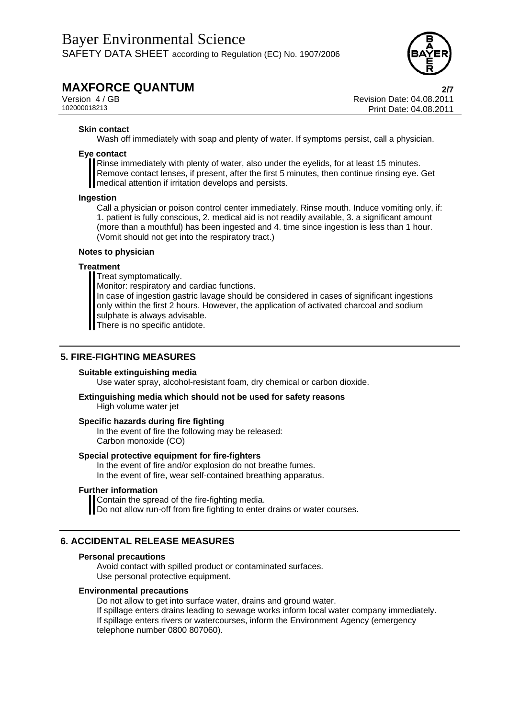

Version 4 / GB Revision Date: 04.08.2011 102000018213 Print Date: 04.08.2011

#### **Skin contact**

Wash off immediately with soap and plenty of water. If symptoms persist, call a physician.

#### **Eye contact**

Rinse immediately with plenty of water, also under the eyelids, for at least 15 minutes. Remove contact lenses, if present, after the first 5 minutes, then continue rinsing eye. Get medical attention if irritation develops and persists.

#### **Ingestion**

Call a physician or poison control center immediately. Rinse mouth. Induce vomiting only, if: 1. patient is fully conscious, 2. medical aid is not readily available, 3. a significant amount (more than a mouthful) has been ingested and 4. time since ingestion is less than 1 hour. (Vomit should not get into the respiratory tract.)

#### **Notes to physician**

#### **Treatment**

Treat symptomatically.

Monitor: respiratory and cardiac functions.

In case of ingestion gastric lavage should be considered in cases of significant ingestions only within the first 2 hours. However, the application of activated charcoal and sodium sulphate is always advisable. There is no specific antidote.

## **5. FIRE-FIGHTING MEASURES**

#### **Suitable extinguishing media**

Use water spray, alcohol-resistant foam, dry chemical or carbon dioxide.

## **Extinguishing media which should not be used for safety reasons**

High volume water jet

#### **Specific hazards during fire fighting**

In the event of fire the following may be released: Carbon monoxide (CO)

#### **Special protective equipment for fire-fighters**

In the event of fire and/or explosion do not breathe fumes. In the event of fire, wear self-contained breathing apparatus.

#### **Further information**

Contain the spread of the fire-fighting media.

**I** Do not allow run-off from fire fighting to enter drains or water courses.

### **6. ACCIDENTAL RELEASE MEASURES**

#### **Personal precautions**

Avoid contact with spilled product or contaminated surfaces. Use personal protective equipment.

#### **Environmental precautions**

Do not allow to get into surface water, drains and ground water.

If spillage enters drains leading to sewage works inform local water company immediately.

If spillage enters rivers or watercourses, inform the Environment Agency (emergency telephone number 0800 807060).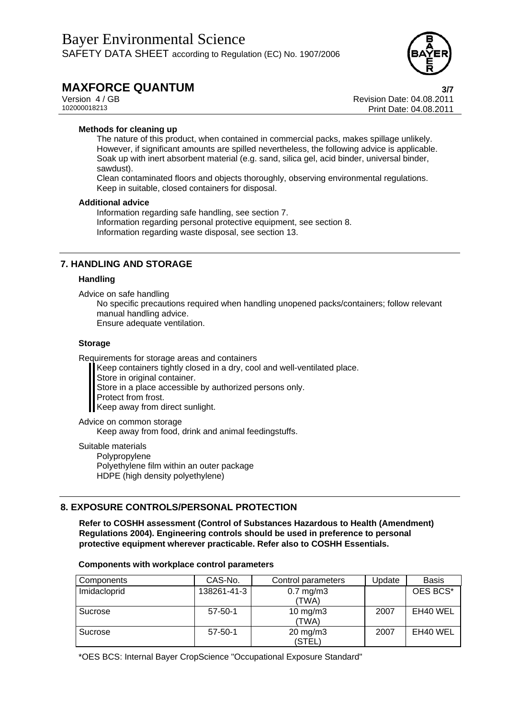

## **MAXFORCE QUANTUM**<br>Version 4/GB<br>**Revision Date: 04.08.2011**

Version 4 / GB<br>
102000018213<br>
Print Date: 04.08.2011<br>
Print Date: 04.08.2011 102000018213 Print Date: 04.08.2011

#### **Methods for cleaning up**

The nature of this product, when contained in commercial packs, makes spillage unlikely. However, if significant amounts are spilled nevertheless, the following advice is applicable. Soak up with inert absorbent material (e.g. sand, silica gel, acid binder, universal binder, sawdust).

Clean contaminated floors and objects thoroughly, observing environmental regulations. Keep in suitable, closed containers for disposal.

#### **Additional advice**

Information regarding safe handling, see section 7. Information regarding personal protective equipment, see section 8. Information regarding waste disposal, see section 13.

### **7. HANDLING AND STORAGE**

#### **Handling**

Advice on safe handling

No specific precautions required when handling unopened packs/containers; follow relevant manual handling advice. Ensure adequate ventilation.

#### **Storage**

Requirements for storage areas and containers

Keep containers tightly closed in a dry, cool and well-ventilated place.

Store in original container.

Store in a place accessible by authorized persons only.

Protect from frost.

Keep away from direct sunlight.

Advice on common storage

Keep away from food, drink and animal feedingstuffs.

Suitable materials

Polypropylene Polyethylene film within an outer package HDPE (high density polyethylene)

### **8. EXPOSURE CONTROLS/PERSONAL PROTECTION**

**Refer to COSHH assessment (Control of Substances Hazardous to Health (Amendment) Regulations 2004). Engineering controls should be used in preference to personal protective equipment wherever practicable. Refer also to COSHH Essentials.** 

#### **Components with workplace control parameters**

| Components   | CAS-No.       | Control parameters            | <b>Jpdate</b> | <b>Basis</b> |
|--------------|---------------|-------------------------------|---------------|--------------|
| Imidacloprid | 138261-41-3   | $0.7$ mg/m $3$<br>(TWA)       |               | OES BCS*     |
| Sucrose      | $57 - 50 - 1$ | $10 \text{ mg/m}$ 3<br>(TWA)  | 2007          | EH40 WEL     |
| Sucrose      | $57 - 50 - 1$ | $20 \text{ mg/m}$ 3<br>(STEL) | 2007          | EH40 WEL     |

\*OES BCS: Internal Bayer CropScience "Occupational Exposure Standard"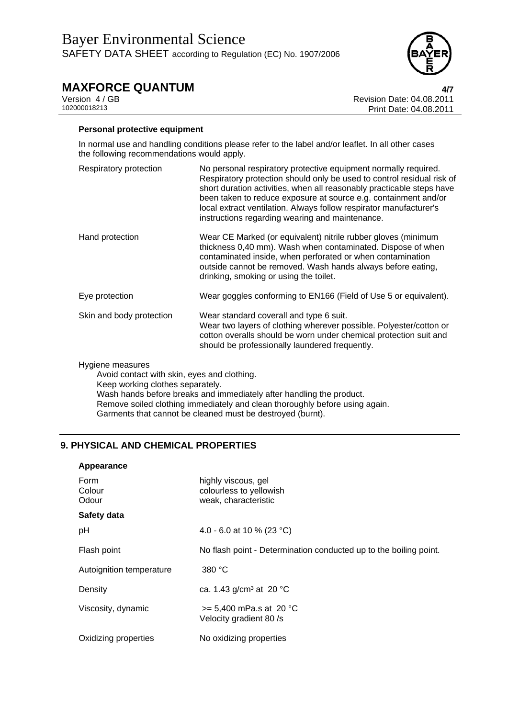

Version 4 / GB<br>
102000018213<br>
Print Date: 04.08.2011<br>
Print Date: 04.08.2011 102000018213 Print Date: 04.08.2011

#### **Personal protective equipment**

In normal use and handling conditions please refer to the label and/or leaflet. In all other cases the following recommendations would apply.

Respiratory protection No personal respiratory protective equipment normally required. Respiratory protection should only be used to control residual risk of short duration activities, when all reasonably practicable steps have been taken to reduce exposure at source e.g. containment and/or local extract ventilation. Always follow respirator manufacturer's instructions regarding wearing and maintenance. Hand protection Wear CE Marked (or equivalent) nitrile rubber gloves (minimum thickness 0,40 mm). Wash when contaminated. Dispose of when contaminated inside, when perforated or when contamination outside cannot be removed. Wash hands always before eating, drinking, smoking or using the toilet. Eye protection Wear goggles conforming to EN166 (Field of Use 5 or equivalent). Skin and body protection Wear standard coverall and type 6 suit. Wear two layers of clothing wherever possible. Polyester/cotton or cotton overalls should be worn under chemical protection suit and should be professionally laundered frequently.

#### Hygiene measures

Avoid contact with skin, eyes and clothing. Keep working clothes separately. Wash hands before breaks and immediately after handling the product. Remove soiled clothing immediately and clean thoroughly before using again. Garments that cannot be cleaned must be destroyed (burnt).

## **9. PHYSICAL AND CHEMICAL PROPERTIES**

| Appearance               |                                                                        |
|--------------------------|------------------------------------------------------------------------|
| Form<br>Colour<br>Odour  | highly viscous, gel<br>colourless to yellowish<br>weak, characteristic |
| Safety data              |                                                                        |
| pH                       | 4.0 - 6.0 at 10 % (23 °C)                                              |
| Flash point              | No flash point - Determination conducted up to the boiling point.      |
| Autoignition temperature | 380 °C                                                                 |
| Density                  | ca. 1.43 $g/cm3$ at 20 °C                                              |
| Viscosity, dynamic       | $>= 5,400$ mPa.s at 20 °C<br>Velocity gradient 80 /s                   |
| Oxidizing properties     | No oxidizing properties                                                |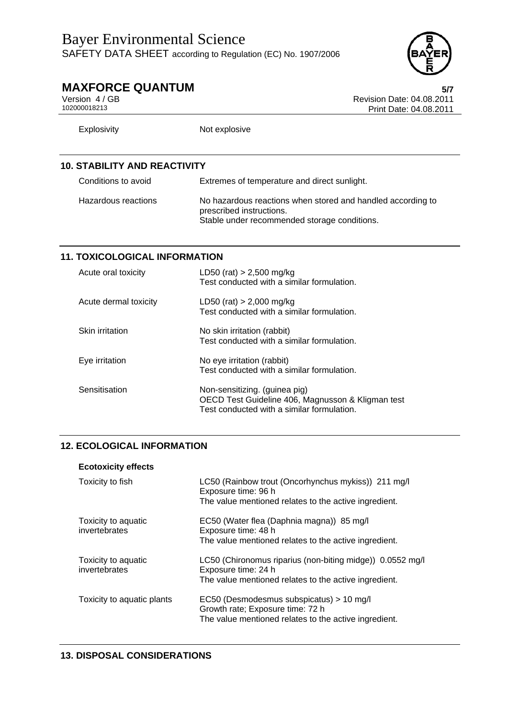

# **MAXFORCE QUANTUM**<br>Version 4/GB<br>Revision Date: 04.08.2011

Version 4 / GB<br>102000018213<br>Print Date: 04.08.2011 Print Date: 04.08.2011

| <b>Explosivity</b>                  | Not explosive                                                                                                                           |
|-------------------------------------|-----------------------------------------------------------------------------------------------------------------------------------------|
|                                     |                                                                                                                                         |
| <b>10. STABILITY AND REACTIVITY</b> |                                                                                                                                         |
| Conditions to avoid                 | Extremes of temperature and direct sunlight.                                                                                            |
| Hazardous reactions                 | No hazardous reactions when stored and handled according to<br>prescribed instructions.<br>Stable under recommended storage conditions. |

## **11. TOXICOLOGICAL INFORMATION**

| Acute oral toxicity   | LD50 (rat) $> 2,500$ mg/kg<br>Test conducted with a similar formulation.                                                         |
|-----------------------|----------------------------------------------------------------------------------------------------------------------------------|
| Acute dermal toxicity | LD50 (rat) $> 2,000$ mg/kg<br>Test conducted with a similar formulation.                                                         |
| Skin irritation       | No skin irritation (rabbit)<br>Test conducted with a similar formulation.                                                        |
| Eye irritation        | No eye irritation (rabbit)<br>Test conducted with a similar formulation.                                                         |
| Sensitisation         | Non-sensitizing. (guinea pig)<br>OECD Test Guideline 406, Magnusson & Kligman test<br>Test conducted with a similar formulation. |

## **12. ECOLOGICAL INFORMATION**

| LC50 (Rainbow trout (Oncorhynchus mykiss)) 211 mg/l<br>Exposure time: 96 h                                                            |
|---------------------------------------------------------------------------------------------------------------------------------------|
| The value mentioned relates to the active ingredient.                                                                                 |
| EC50 (Water flea (Daphnia magna)) 85 mg/l<br>Exposure time: 48 h                                                                      |
| The value mentioned relates to the active ingredient.                                                                                 |
| LC50 (Chironomus riparius (non-biting midge)) 0.0552 mg/l<br>Exposure time: 24 h                                                      |
| The value mentioned relates to the active ingredient.                                                                                 |
| EC50 (Desmodesmus subspicatus) > 10 mg/l<br>Growth rate; Exposure time: 72 h<br>The value mentioned relates to the active ingredient. |
|                                                                                                                                       |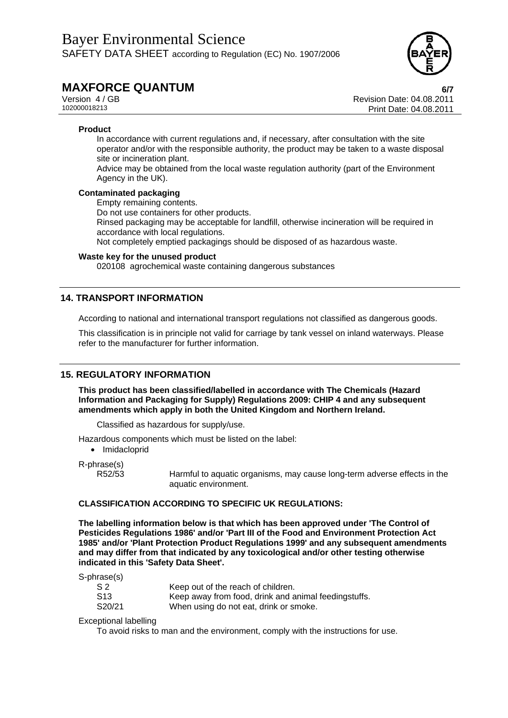

Version 4 / GB<br>102000018213<br>Print Date: 04.08.2011 102000018213 Print Date: 04.08.2011

#### **Product**

In accordance with current regulations and, if necessary, after consultation with the site operator and/or with the responsible authority, the product may be taken to a waste disposal site or incineration plant.

Advice may be obtained from the local waste regulation authority (part of the Environment Agency in the UK).

#### **Contaminated packaging**

Empty remaining contents.

Do not use containers for other products.

Rinsed packaging may be acceptable for landfill, otherwise incineration will be required in accordance with local regulations.

Not completely emptied packagings should be disposed of as hazardous waste.

#### **Waste key for the unused product**

020108 agrochemical waste containing dangerous substances

#### **14. TRANSPORT INFORMATION**

According to national and international transport regulations not classified as dangerous goods.

This classification is in principle not valid for carriage by tank vessel on inland waterways. Please refer to the manufacturer for further information.

#### **15. REGULATORY INFORMATION**

**This product has been classified/labelled in accordance with The Chemicals (Hazard Information and Packaging for Supply) Regulations 2009: CHIP 4 and any subsequent amendments which apply in both the United Kingdom and Northern Ireland.** 

Classified as hazardous for supply/use.

Hazardous components which must be listed on the label:

• Imidacloprid

R-phrase(s)

R52/53 Harmful to aquatic organisms, may cause long-term adverse effects in the aquatic environment.

#### **CLASSIFICATION ACCORDING TO SPECIFIC UK REGULATIONS:**

**The labelling information below is that which has been approved under 'The Control of Pesticides Regulations 1986' and/or 'Part III of the Food and Environment Protection Act 1985' and/or 'Plant Protection Product Regulations 1999' and any subsequent amendments and may differ from that indicated by any toxicological and/or other testing otherwise indicated in this 'Safety Data Sheet'.** 

S-phrase(s)

| S 2             | Keep out of the reach of children.                   |
|-----------------|------------------------------------------------------|
| S <sub>13</sub> | Keep away from food, drink and animal feedingstuffs. |
| S20/21          | When using do not eat, drink or smoke.               |

Exceptional labelling

To avoid risks to man and the environment, comply with the instructions for use.